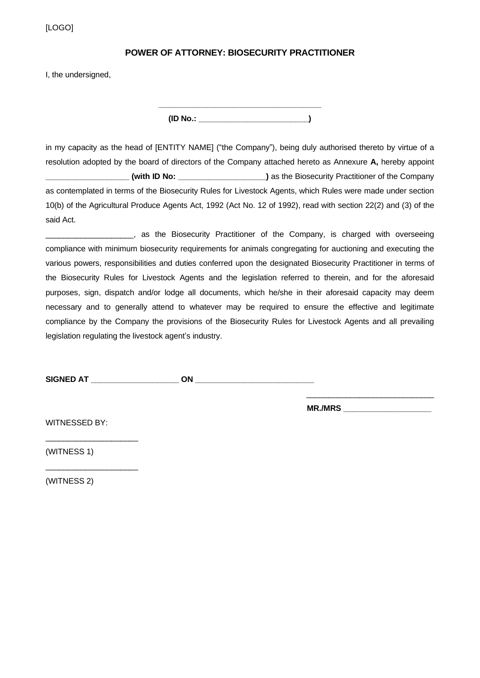[LOGO]

## **POWER OF ATTORNEY: BIOSECURITY PRACTITIONER**

I, the undersigned,

**\_\_\_\_\_\_\_\_\_\_\_\_\_\_\_\_\_\_\_\_\_\_\_\_\_\_\_\_\_\_\_\_\_\_\_\_\_ (ID No.: \_\_\_\_\_\_\_\_\_\_\_\_\_\_\_\_\_\_\_\_\_\_\_\_\_)**

in my capacity as the head of [ENTITY NAME] ("the Company"), being duly authorised thereto by virtue of a resolution adopted by the board of directors of the Company attached hereto as Annexure **A,** hereby appoint **\_\_\_\_\_\_\_\_\_\_\_\_\_\_\_\_\_\_\_ (with ID No: \_\_\_\_\_\_\_\_\_\_\_\_\_\_\_\_\_\_\_\_)** as the Biosecurity Practitioner of the Company as contemplated in terms of the Biosecurity Rules for Livestock Agents, which Rules were made under section 10(b) of the Agricultural Produce Agents Act, 1992 (Act No. 12 of 1992), read with section 22(2) and (3) of the said Act.

\_\_\_\_\_\_\_\_\_\_\_\_\_\_\_\_\_\_\_\_, as the Biosecurity Practitioner of the Company, is charged with overseeing compliance with minimum biosecurity requirements for animals congregating for auctioning and executing the various powers, responsibilities and duties conferred upon the designated Biosecurity Practitioner in terms of the Biosecurity Rules for Livestock Agents and the legislation referred to therein, and for the aforesaid purposes, sign, dispatch and/or lodge all documents, which he/she in their aforesaid capacity may deem necessary and to generally attend to whatever may be required to ensure the effective and legitimate compliance by the Company the provisions of the Biosecurity Rules for Livestock Agents and all prevailing legislation regulating the livestock agent's industry.

| <b>SIGNED AT</b> |  |  |
|------------------|--|--|
|                  |  |  |

**MR./MRS \_\_\_\_\_\_\_\_\_\_\_\_\_\_\_\_\_\_\_\_**

\_\_\_\_\_\_\_\_\_\_\_\_\_\_\_\_\_\_\_\_\_\_\_\_\_\_\_\_\_

WITNESSED BY:

\_\_\_\_\_\_\_\_\_\_\_\_\_\_\_\_\_\_\_\_\_

\_\_\_\_\_\_\_\_\_\_\_\_\_\_\_\_\_\_\_\_\_

(WITNESS 1)

(WITNESS 2)